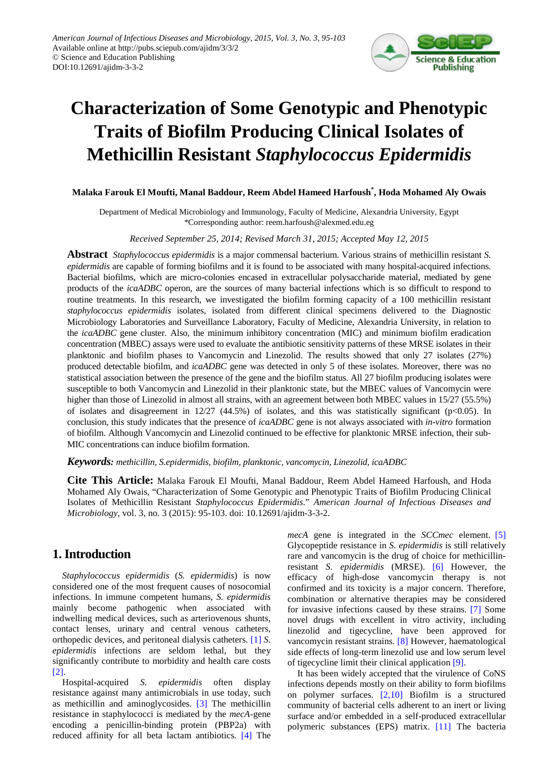

# **Characterization of Some Genotypic and Phenotypic Traits of Biofilm Producing Clinical Isolates of Methicillin Resistant** *Staphylococcus Epidermidis*

#### **Malaka Farouk El Moufti, Manal Baddour, Reem Abdel Hameed Harfoush\* , Hoda Mohamed Aly Owais**

Department of Medical Microbiology and Immunology, Faculty of Medicine, Alexandria University, Egypt \*Corresponding author: reem.harfoush@alexmed.edu.eg

#### *Received September 25, 2014; Revised March 31, 2015; Accepted May 12, 2015*

**Abstract** *Staphylococcus epidermidis* is a major commensal bacterium. Various strains of methicillin resistant *S. epidermidis* are capable of forming biofilms and it is found to be associated with many hospital-acquired infections. Bacterial biofilms, which are micro-colonies encased in extracellular polysaccharide material, mediated by gene products of the *icaADBC* operon, are the sources of many bacterial infections which is so difficult to respond to routine treatments. In this research, we investigated the biofilm forming capacity of a 100 methicillin resistant *staphylococcus epidermidis* isolates, isolated from different clinical specimens delivered to the Diagnostic Microbiology Laboratories and Surveillance Laboratory, Faculty of Medicine, Alexandria University, in relation to the *icaADBC* gene cluster. Also, the minimum inhibitory concentration (MIC) and minimum biofilm eradication concentration (MBEC) assays were used to evaluate the antibiotic sensitivity patterns of these MRSE isolates in their planktonic and biofilm phases to Vancomycin and Linezolid. The results showed that only 27 isolates (27%) produced detectable biofilm, and *icaADBC* gene was detected in only 5 of these isolates. Moreover, there was no statistical association between the presence of the gene and the biofilm status. All 27 biofilm producing isolates were susceptible to both Vancomycin and Linezolid in their planktonic state, but the MBEC values of Vancomycin were higher than those of Linezolid in almost all strains, with an agreement between both MBEC values in 15/27 (55.5%) of isolates and disagreement in  $12/27$  (44.5%) of isolates, and this was statistically significant (p<0.05). In conclusion, this study indicates that the presence of *icaADBC* gene is not always associated with *in-vitro* formation of biofilm. Although Vancomycin and Linezolid continued to be effective for planktonic MRSE infection, their sub-MIC concentrations can induce biofilm formation.

#### *Keywords: methicillin, S.epidermidis, biofilm, planktonic, vancomycin, Linezolid, icaADBC*

**Cite This Article:** Malaka Farouk El Moufti, Manal Baddour, Reem Abdel Hameed Harfoush, and Hoda Mohamed Aly Owais, "Characterization of Some Genotypic and Phenotypic Traits of Biofilm Producing Clinical Isolates of Methicillin Resistant *Staphylococcus Epidermidis*." *American Journal of Infectious Diseases and Microbiology*, vol. 3, no. 3 (2015): 95-103. doi: 10.12691/ajidm-3-3-2.

## **1. Introduction**

*Staphylococcus epidermidis* (*S. epidermidis*) is now considered one of the most frequent causes of nosocomial infections. In immune competent humans, *S. epidermidis*  mainly become pathogenic when associated with indwelling medical devices, such as arteriovenous shunts, contact lenses, urinary and central venous catheters, orthopedic devices, and peritoneal dialysis catheters. [\[1\]](#page-7-0) *S. epidermidis* infections are seldom lethal, but they significantly contribute to morbidity and health care costs [\[2\].](#page-7-1)

Hospital-acquired *S. epidermidis* often display resistance against many antimicrobials in use today, such as methicillin and aminoglycosides. [\[3\]](#page-7-2) The methicillin resistance in staphylococci is mediated by the *mecA*-gene encoding a penicillin-binding protein (PBP2a) with reduced affinity for all beta lactam antibiotics. [\[4\]](#page-7-3) The *mecA* gene is integrated in the *SCCmec* element. [\[5\]](#page-7-4) Glycopeptide resistance in *S. epidermidis* is still relatively rare and vancomycin is the drug of choice for methicillinresistant *S. epidermidis* (MRSE). [\[6\]](#page-7-5) However, the efficacy of high-dose vancomycin therapy is not confirmed and its toxicity is a major concern. Therefore, combination or alternative therapies may be considered for invasive infections caused by these strains. [\[7\]](#page-7-6) Some novel drugs with excellent in vitro activity, including linezolid and tigecycline, have been approved for vancomycin resistant strains. [\[8\]](#page-7-7) However, haematological side effects of long-term linezolid use and low serum level of tigecycline limit their clinical application [\[9\].](#page-7-8)

It has been widely accepted that the virulence of CoNS infections depends mostly on their ability to form biofilms on polymer surfaces. [\[2,10\]](#page-7-1) Biofilm is a structured community of bacterial cells adherent to an inert or living surface and/or embedded in a self-produced extracellular polymeric substances (EPS) matrix. [\[11\]](#page-7-9) The bacteria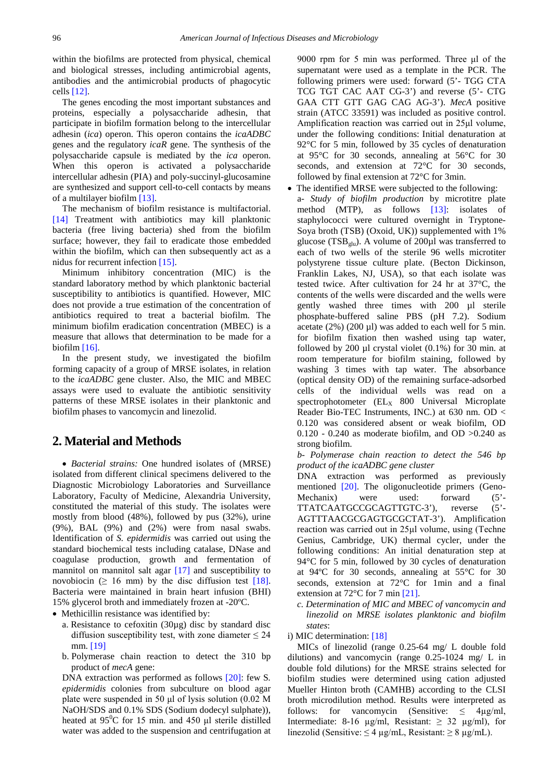within the biofilms are protected from physical, chemical and biological stresses, including antimicrobial agents, antibodies and the antimicrobial products of phagocytic cells [\[12\].](#page-7-10)

The genes encoding the most important substances and proteins, especially a polysaccharide adhesin, that participate in biofilm formation belong to the intercellular adhesin (*ica*) operon. This operon contains the *icaADBC* genes and the regulatory *icaR* gene. The synthesis of the polysaccharide capsule is mediated by the *ica* operon. When this operon is activated a polysaccharide intercellular adhesin (PIA) and poly-succinyl-glucosamine are synthesized and support cell-to-cell contacts by means of a multilayer biofilm [\[13\].](#page-7-11)

The mechanism of biofilm resistance is multifactorial. [\[14\]](#page-7-12) Treatment with antibiotics may kill planktonic bacteria (free living bacteria) shed from the biofilm surface; however, they fail to eradicate those embedded within the biofilm, which can then subsequently act as a nidus for recurrent infectio[n \[15\].](#page-7-13)

Minimum inhibitory concentration (MIC) is the standard laboratory method by which planktonic bacterial susceptibility to antibiotics is quantified. However, MIC does not provide a true estimation of the concentration of antibiotics required to treat a bacterial biofilm. The minimum biofilm eradication concentration (MBEC) is a measure that allows that determination to be made for a biofilm [\[16\].](#page-7-14)

In the present study, we investigated the biofilm forming capacity of a group of MRSE isolates, in relation to the *icaADBC* gene cluster. Also, the MIC and MBEC assays were used to evaluate the antibiotic sensitivity patterns of these MRSE isolates in their planktonic and biofilm phases to vancomycin and linezolid.

# **2. Material and Methods**

• *Bacterial strains:* One hundred isolates of (MRSE) isolated from different clinical specimens delivered to the Diagnostic Microbiology Laboratories and Surveillance Laboratory, Faculty of Medicine, Alexandria University, constituted the material of this study. The isolates were mostly from blood (48%), followed by pus (32%), urine (9%), BAL (9%) and (2%) were from nasal swabs. Identification of *S. epidermidis* was carried out using the standard biochemical tests including catalase, DNase and coagulase production, growth and fermentation of mannitol on mannitol salt agar [\[17\]](#page-7-15) and susceptibility to novobiocin ( $\geq 16$  mm) by the disc diffusion test [\[18\].](#page-7-16) Bacteria were maintained in brain heart infusion (BHI) 15% glycerol broth and immediately frozen at -20ºC.

• Methicillin resistance was identified by:

- a. Resistance to cefoxitin (30µg) disc by standard disc diffusion susceptibility test, with zone diameter  $\leq 24$ mm. [\[19\]](#page-7-17)
- b. Polymerase chain reaction to detect the 310 bp product of *mecA* gene:

DNA extraction was performed as follows [\[20\]:](#page-7-18) few S*. epidermidis* colonies from subculture on blood agar plate were suspended in 50 μl of lysis solution (0.02 M NaOH/SDS and 0.1% SDS (Sodium dodecyl sulphate)), heated at  $95^{\circ}$ C for 15 min. and 450 µl sterile distilled water was added to the suspension and centrifugation at

9000 rpm for 5 min was performed. Three μl of the supernatant were used as a template in the PCR. The following primers were used: forward (5'- TGG CTA TCG TGT CAC AAT CG-3') and reverse (5'- CTG GAA CTT GTT GAG CAG AG-3'). *MecA* positive strain (ATCC 33591) was included as positive control. Amplification reaction was carried out in 25μl volume, under the following conditions: Initial denaturation at 92<sup>o</sup>C for 5 min, followed by 35 cycles of denaturation at 95°C for 30 seconds, annealing at 56°C for 30 seconds, and extension at 72°C for 30 seconds, followed by final extension at 72°C for 3min.

• The identified MRSE were subjected to the following: a- *Study of biofilm production* by microtitre plate method (MTP), as follows [\[13\]:](#page-7-11) isolates of staphylococci were cultured overnight in Tryptone-Soya broth (TSB) (Oxoid, UK)) supplemented with 1% glucose (TSB<sub> $\sigma$ lu</sub>). A volume of 200 $\mu$ l was transferred to each of two wells of the sterile 96 wells microtiter polystyrene tissue culture plate. (Becton Dickinson, Franklin Lakes, NJ, USA), so that each isolate was tested twice. After cultivation for 24 hr at 37°C, the contents of the wells were discarded and the wells were gently washed three times with 200 µl sterile phosphate-buffered saline PBS (pH 7.2). Sodium acetate  $(2\%)$  (200 µl) was added to each well for 5 min. for biofilm fixation then washed using tap water, followed by 200  $\mu$ l crystal violet (0.1%) for 30 min. at room temperature for biofilm staining, followed by washing 3 times with tap water. The absorbance (optical density OD) of the remaining surface-adsorbed cells of the individual wells was read on a spectrophotometer  $(EL<sub>X</sub> 800$  Universal Microplate Reader Bio-TEC Instruments, INC.) at 630 nm. OD < 0.120 was considered absent or weak biofilm, OD  $0.120 - 0.240$  as moderate biofilm, and OD  $>0.240$  as strong biofilm.

*b- Polymerase chain reaction to detect the 546 bp product of the icaADBC gene cluster*

DNA extraction was performed as previously mentioned [\[20\].](#page-7-18) The oligonucleotide primers (Geno-Mechanix) were used: forward (5'- TTATCAATGCCGCAGTTGTC-3'), reverse (5'- AGTTTAACGCGAGTGCGCTAT-3'). Amplification reaction was carried out in 25μl volume, using (Techne Genius, Cambridge, UK) thermal cycler, under the following conditions: An initial denaturation step at 94°C for 5 min, followed by 30 cycles of denaturation at 94ºC for 30 seconds, annealing at 55°C for 30 seconds, extension at 72°C for 1min and a final extension at 72°C for 7 min [\[21\].](#page-7-19)

*c. Determination of MIC and MBEC of vancomycin and linezolid on MRSE isolates planktonic and biofilm states*:

i) MIC determination: [\[18\]](#page-7-16)

MICs of linezolid (range 0.25-64 mg/ L double fold dilutions) and vancomycin (range 0.25-1024 mg/ L in double fold dilutions) for the MRSE strains selected for biofilm studies were determined using cation adjusted Mueller Hinton broth (CAMHB) according to the CLSI broth microdilution method. Results were interpreted as follows: for vancomycin (Sensitive:  $\leq$  4µg/ml, Intermediate: 8-16  $\mu$ g/ml, Resistant:  $\geq$  32  $\mu$ g/ml), for linezolid (Sensitive:  $\leq 4 \mu g/mL$ , Resistant:  $\geq 8 \mu g/mL$ ).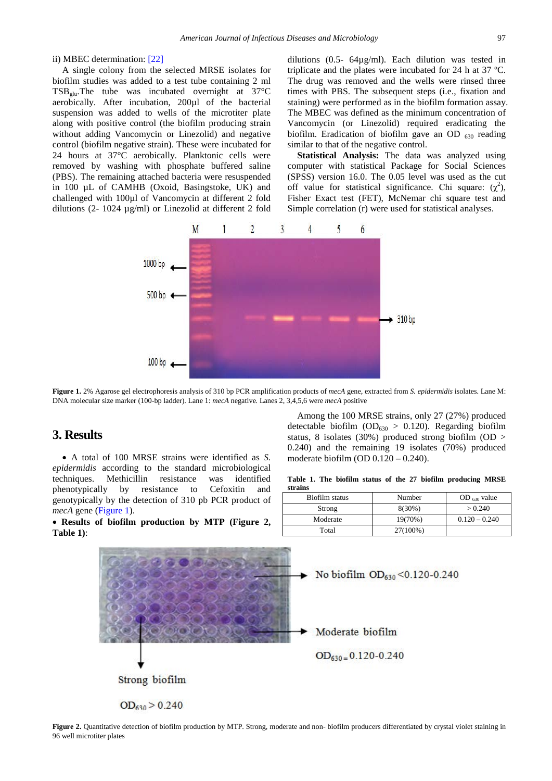#### ii) MBEC determination: [\[22\]](#page-7-20)

A single colony from the selected MRSE isolates for biofilm studies was added to a test tube containing 2 ml  $TSB_{\text{glu}}$ . The tube was incubated overnight at 37 $\textdegree$ C aerobically. After incubation, 200µl of the bacterial suspension was added to wells of the microtiter plate along with positive control (the biofilm producing strain without adding Vancomycin or Linezolid) and negative control (biofilm negative strain). These were incubated for 24 hours at 37°C aerobically. Planktonic cells were removed by washing with phosphate buffered saline (PBS). The remaining attached bacteria were resuspended in 100 µL of CAMHB (Oxoid, Basingstoke, UK) and challenged with 100µl of Vancomycin at different 2 fold dilutions (2- 1024 µg/ml) or Linezolid at different 2 fold

dilutions (0.5- 64µg/ml). Each dilution was tested in triplicate and the plates were incubated for 24 h at 37 ºC. The drug was removed and the wells were rinsed three times with PBS. The subsequent steps (i.e., fixation and staining) were performed as in the biofilm formation assay. The MBEC was defined as the minimum concentration of Vancomycin (or Linezolid) required eradicating the biofilm. Eradication of biofilm gave an OD  $_{630}$  reading similar to that of the negative control.

**Statistical Analysis:** The data was analyzed using computer with statistical Package for Social Sciences (SPSS) version 16.0. The 0.05 level was used as the cut off value for statistical significance. Chi square:  $(\chi^2)$ , Fisher Exact test (FET), McNemar chi square test and Simple correlation (r) were used for statistical analyses.

<span id="page-2-0"></span>

**Figure 1.** 2% Agarose gel electrophoresis analysis of 310 bp PCR amplification products of *mecA* gene, extracted from *S. epidermidis* isolates. Lane M: DNA molecular size marker (100-bp ladder). Lane 1: *mecA* negative*.* Lanes 2, 3,4,5,6 were *mecA* positive

## **3. Results**

• A total of 100 MRSE strains were identified as *S. epidermidis* according to the standard microbiological techniques. Methicillin resistance was identified phenotypically by resistance to Cefoxitin and genotypically by the detection of 310 pb PCR product of *mecA* gene [\(Figure 1\)](#page-2-0).

• **Results of biofilm production by MTP (Figure 2, Table 1)**:

Among the 100 MRSE strains, only 27 (27%) produced detectable biofilm ( $OD_{630} > 0.120$ ). Regarding biofilm status, 8 isolates (30%) produced strong biofilm (OD  $>$ 0.240) and the remaining 19 isolates (70%) produced moderate biofilm (OD 0.120 – 0.240).

**Table 1. The biofilm status of the 27 biofilm producing MRSE strains**

| Biofilm status | Number    | OD $630$ value  |
|----------------|-----------|-----------------|
| Strong         | $8(30\%)$ | > 0.240         |
| Moderate       | 19(70%)   | $0.120 - 0.240$ |
| Total          | 27(100%)  |                 |



**Figure 2.** Quantitative detection of biofilm production by MTP. Strong, moderate and non- biofilm producers differentiated by crystal violet staining in 96 well microtiter plates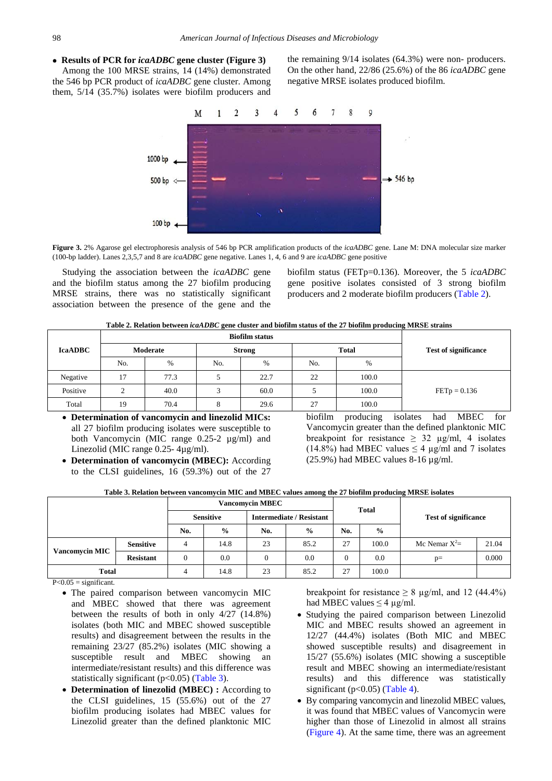### • **Results of PCR for** *icaADBC* **gene cluster (Figure 3)**

Among the 100 MRSE strains, 14 (14%) demonstrated the 546 bp PCR product of *icaADBC* gene cluster. Among them, 5/14 (35.7%) isolates were biofilm producers and the remaining 9/14 isolates (64.3%) were non- producers. On the other hand, 22/86 (25.6%) of the 86 *icaADBC* gene negative MRSE isolates produced biofilm.



**Figure 3.** 2% Agarose gel electrophoresis analysis of 546 bp PCR amplification products of the *icaADBC* gene. Lane M: DNA molecular size marker (100-bp ladder). Lanes 2,3,5,7 and 8 are *icaADBC* gene negative. Lanes 1, 4, 6 and 9 are *icaADBC* gene positive

Studying the association between the *icaADBC* gene and the biofilm status among the 27 biofilm producing MRSE strains, there was no statistically significant association between the presence of the gene and the

biofilm status (FETp=0.136). Moreover, the 5 *icaADBC* gene positive isolates consisted of 3 strong biofilm producers and 2 moderate biofilm producers [\(Table 2\)](#page-3-0).

**Table 2. Relation between** *icaADBC* **gene cluster and biofilm status of the 27 biofilm producing MRSE strains**

<span id="page-3-0"></span>

| <b>IcaADBC</b> |     | Moderate |     | <b>Strong</b> | <b>Total</b> | <b>Test of significance</b> |                |
|----------------|-----|----------|-----|---------------|--------------|-----------------------------|----------------|
|                | No. | $\%$     | No. | $\%$          | No.          | $\%$                        |                |
| Negative       | 17  | 77.3     |     | 22.7          | 22           | 100.0                       |                |
| Positive       |     | 40.0     |     | 60.0          |              | 100.0                       | $FETp = 0.136$ |
| Total          | 19  | 70.4     | Ω   | 29.6          | 27           | 100.0                       |                |

- **Determination of vancomycin and linezolid MICs:**  all 27 biofilm producing isolates were susceptible to both Vancomycin (MIC range 0.25-2 µg/ml) and Linezolid (MIC range 0.25- 4µg/ml).
- **Determination of vancomycin (MBEC):** According to the CLSI guidelines, 16 (59.3%) out of the 27

biofilm producing isolates had MBEC for Vancomycin greater than the defined planktonic MIC breakpoint for resistance  $\geq$  32 µg/ml, 4 isolates (14.8%) had MBEC values  $\leq$  4 µg/ml and 7 isolates  $(25.9\%)$  had MBEC values 8-16  $\mu$ g/ml.

**Table 3. Relation between vancomycin MIC and MBEC values among the 27 biofilm producing MRSE isolates**

<span id="page-3-1"></span>

|                       |                  | <b>Vancomycin MBEC</b> |               |                                 |               |              |               |                             |       |
|-----------------------|------------------|------------------------|---------------|---------------------------------|---------------|--------------|---------------|-----------------------------|-------|
|                       |                  | <b>Sensitive</b>       |               | <b>Intermediate / Resistant</b> |               | <b>Total</b> |               | <b>Test of significance</b> |       |
|                       |                  | No.                    | $\frac{6}{9}$ | No.                             | $\frac{6}{9}$ | No.          | $\frac{0}{0}$ |                             |       |
|                       | <b>Sensitive</b> | 4                      | 14.8          | 23                              | 85.2          | 27           | 100.0         | Mc Nemar $X^2 =$            | 21.04 |
| <b>Vancomycin MIC</b> | <b>Resistant</b> | $\overline{0}$         | 0.0           | $\theta$                        | 0.0           | $\mathbf{0}$ | 0.0           | $p=$                        | 0.000 |
| <b>Total</b>          |                  |                        | 14.8          | 23                              | 85.2          | 27           | 100.0         |                             |       |

 $P<0.05$  = significant.

- The paired comparison between vancomycin MIC and MBEC showed that there was agreement between the results of both in only 4/27 (14.8%) isolates (both MIC and MBEC showed susceptible results) and disagreement between the results in the remaining 23/27 (85.2%) isolates (MIC showing a susceptible result and MBEC showing an intermediate/resistant results) and this difference was statistically significant ( $p<0.05$ ) [\(Table 3\)](#page-3-1).
- **Determination of linezolid (MBEC) :** According to the CLSI guidelines, 15 (55.6%) out of the 27 biofilm producing isolates had MBEC values for Linezolid greater than the defined planktonic MIC

breakpoint for resistance  $\geq 8$  µg/ml, and 12 (44.4%) had MBEC values  $\leq$  4 µg/ml.

- Studying the paired comparison between Linezolid MIC and MBEC results showed an agreement in 12/27 (44.4%) isolates (Both MIC and MBEC showed susceptible results) and disagreement in 15/27 (55.6%) isolates (MIC showing a susceptible result and MBEC showing an intermediate/resistant results) and this difference was statistically significant ( $p<0.05$ ) [\(Table 4\)](#page-4-0).
- By comparing vancomycin and linezolid MBEC values, it was found that MBEC values of Vancomycin were higher than those of Linezolid in almost all strains [\(Figure 4\)](#page-4-1). At the same time, there was an agreement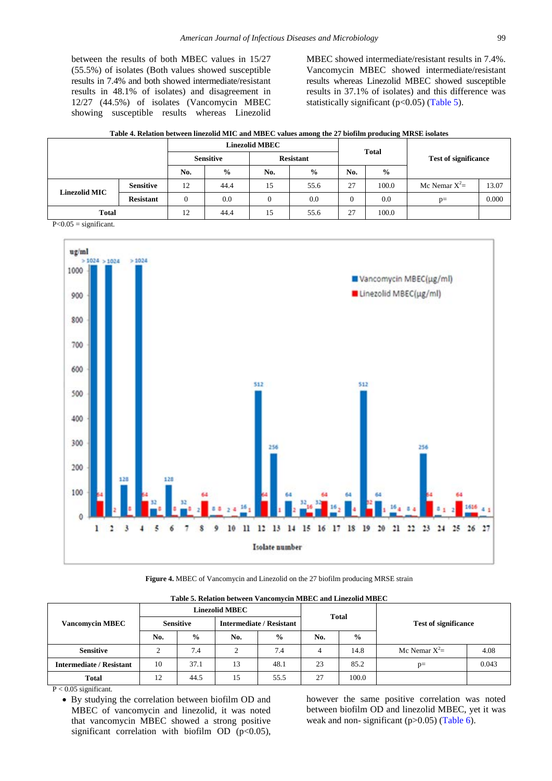between the results of both MBEC values in 15/27 (55.5%) of isolates (Both values showed susceptible results in 7.4% and both showed intermediate/resistant results in 48.1% of isolates) and disagreement in 12/27 (44.5%) of isolates (Vancomycin MBEC showing susceptible results whereas Linezolid MBEC showed intermediate/resistant results in 7.4%. Vancomycin MBEC showed intermediate/resistant results whereas Linezolid MBEC showed susceptible results in 37.1% of isolates) and this difference was statistically significant ( $p<0.05$ ) [\(Table 5\)](#page-4-2).

| Table 4. Relation between linezolid MIC and MBEC values among the 27 biofilm producing MRSE isolates |  |  |
|------------------------------------------------------------------------------------------------------|--|--|
|------------------------------------------------------------------------------------------------------|--|--|

<span id="page-4-0"></span>

|               | <b>Linezolid MBEC</b> |                  |               |                  |               | <b>Total</b> |               |                             |       |
|---------------|-----------------------|------------------|---------------|------------------|---------------|--------------|---------------|-----------------------------|-------|
|               |                       | <b>Sensitive</b> |               | <b>Resistant</b> |               |              |               | <b>Test of significance</b> |       |
|               |                       | No.              | $\frac{0}{0}$ | No.              | $\frac{6}{9}$ | No.          | $\frac{0}{0}$ |                             |       |
|               | <b>Sensitive</b>      | 12               | 44.4          | 15               | 55.6          | 27           | 100.0         | Mc Nemar $X^2$ =            | 13.07 |
| Linezolid MIC | <b>Resistant</b>      | $\overline{0}$   | 0.0           |                  | 0.0           |              | 0.0           | $p=$                        | 0.000 |
| <b>Total</b>  |                       | 12               | 44.4          | 15               | 55.6          | 27           | 100.0         |                             |       |

 $P<0.05$  = significant.

<span id="page-4-1"></span>

**Figure 4.** MBEC of Vancomycin and Linezolid on the 27 biofilm producing MRSE strain

<span id="page-4-2"></span>

|                                 |                  |               | <b>Linezolid MBEC</b>           |               | <b>Total</b> |               |                             |       |
|---------------------------------|------------------|---------------|---------------------------------|---------------|--------------|---------------|-----------------------------|-------|
| <b>Vancomycin MBEC</b>          | <b>Sensitive</b> |               | <b>Intermediate / Resistant</b> |               |              |               | <b>Test of significance</b> |       |
|                                 | No.              | $\frac{0}{0}$ | No.                             | $\frac{0}{0}$ | No.          | $\frac{0}{0}$ |                             |       |
| <b>Sensitive</b>                | $\mathcal{L}$    | 7.4           | $\overline{2}$                  | 7.4           | 4            | 14.8          | Mc Nemar $X^2$ =            | 4.08  |
| <b>Intermediate / Resistant</b> | 10               | 37.1          | 13                              | 48.1          | 23           | 85.2          | $p=$                        | 0.043 |
| <b>Total</b>                    | 12               | 44.5          | 15                              | 55.5          | 27           | 100.0         |                             |       |

**Table 5. Relation between Vancomycin MBEC and Linezolid MBEC**

• By studying the correlation between biofilm OD and MBEC of vancomycin and linezolid, it was noted that vancomycin MBEC showed a strong positive significant correlation with biofilm OD  $(p<0.05)$ , however the same positive correlation was noted between biofilm OD and linezolid MBEC, yet it was weak and non- significant ( $p > 0.05$ ) [\(Table 6\)](#page-5-0).

P < 0.05 significant.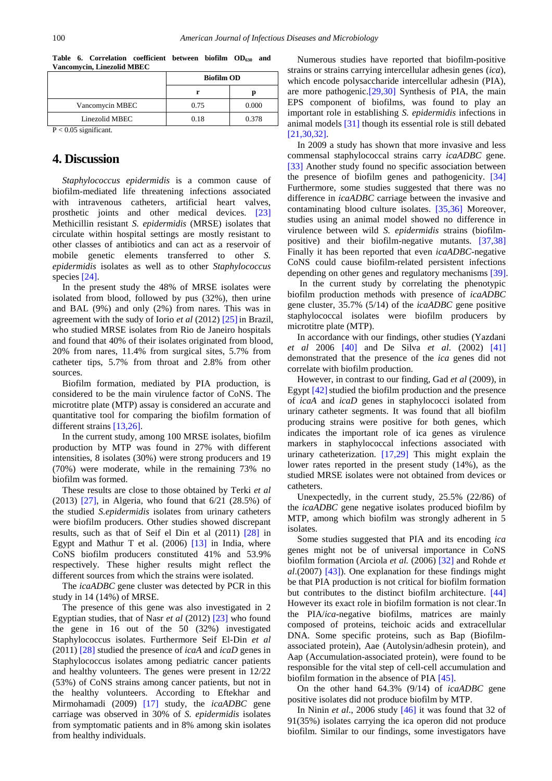<span id="page-5-0"></span>

|                          |      | <b>Biofilm OD</b> |  |  |  |  |
|--------------------------|------|-------------------|--|--|--|--|
|                          |      | IJ                |  |  |  |  |
| Vancomycin MBEC          | 0.75 | 0.000             |  |  |  |  |
| Linezolid MBEC           | 0.18 | 0.378             |  |  |  |  |
| $D \ge 0.05$ cignificant |      |                   |  |  |  |  |

**Table 6. Correlation coefficient between biofilm OD630 and Vancomycin, Linezolid MBEC**

P < 0.05 significant.

# **4. Discussion**

*Staphylococcus epidermidis* is a common cause of biofilm-mediated life threatening infections associated with intravenous catheters, artificial heart valves, prosthetic joints and other medical devices. [\[23\]](#page-7-21) Methicillin resistant *S. epidermidis* (MRSE) isolates that circulate within hospital settings are mostly resistant to other classes of antibiotics and can act as a reservoir of mobile genetic elements transferred to other *S. epidermidis* isolates as well as to other *Staphylococcus*  species [\[24\].](#page-7-22)

In the present study the 48% of MRSE isolates were isolated from blood, followed by pus (32%), then urine and BAL (9%) and only (2%) from nares. This was in agreement with the sudy of Iorio *et al* (2012) [\[25\]](#page-7-23) in Brazil, who studied MRSE isolates from Rio de Janeiro hospitals and found that 40% of their isolates originated from blood, 20% from nares, 11.4% from surgical sites, 5.7% from catheter tips, 5.7% from throat and 2.8% from other sources.

Biofilm formation, mediated by PIA production, is considered to be the main virulence factor of CoNS. The microtitre plate (MTP) assay is considered an accurate and quantitative tool for comparing the biofilm formation of different strains [\[13,26\].](#page-7-11)

In the current study, among 100 MRSE isolates, biofilm production by MTP was found in 27% with different intensities, 8 isolates (30%) were strong producers and 19 (70%) were moderate, while in the remaining 73% no biofilm was formed.

These results are close to those obtained by Terki *et al*  (2013) [\[27\],](#page-7-24) in Algeria, who found that 6/21 (28.5%) of the studied *S.epidermidis* isolates from urinary catheters were biofilm producers. Other studies showed discrepant results, such as that of Seif el Din et al (2011) [\[28\]](#page-7-25) in Egypt and Mathur T et al.  $(2006)$  [\[13\]](#page-7-11) in India, where CoNS biofilm producers constituted 41% and 53.9% respectively. These higher results might reflect the different sources from which the strains were isolated.

The *icaADBC* gene cluster was detected by PCR in this study in 14 (14%) of MRSE.

The presence of this gene was also investigated in 2 Egyptian studies, that of Nasr *et al* (2012) [\[23\]](#page-7-21) who found the gene in 16 out of the 50 (32%) investigated Staphylococcus isolates. Furthermore Seif El-Din *et al* (2011) [\[28\]](#page-7-25) studied the presence of *icaA* and *icaD* genes in Staphylococcus isolates among pediatric cancer patients and healthy volunteers. The genes were present in 12/22 (53%) of CoNS strains among cancer patients, but not in the healthy volunteers. According to Eftekhar and Mirmohamadi (2009) [\[17\]](#page-7-15) study, the *icaADBC* gene carriage was observed in 30% of *S. epidermidis* isolates from symptomatic patients and in 8% among skin isolates from healthy individuals.

Numerous studies have reported that biofilm-positive strains or strains carrying intercellular adhesin genes (*ica*), which encode polysaccharide intercellular adhesin (PIA), are more pathogenic[.\[29,30\]](#page-7-26) Synthesis of PIA, the main EPS component of biofilms, was found to play an important role in establishing *S. epidermidis* infections in animal models [\[31\]](#page-8-0) though its essential role is still debated [\[21,30,32\].](#page-7-19)

In 2009 a study has shown that more invasive and less commensal staphylococcal strains carry *icaADBC* gene. [\[33\]](#page-8-1) Another study found no specific association between the presence of biofilm genes and pathogenicity. [\[34\]](#page-8-2) Furthermore, some studies suggested that there was no difference in *icaADBC* carriage between the invasive and contaminating blood culture isolates. [\[35,36\]](#page-8-3) Moreover, studies using an animal model showed no difference in virulence between wild *S. epidermidis* strains (biofilmpositive) and their biofilm-negative mutants. [\[37,38\]](#page-8-4) Finally it has been reported that even *icaADBC*-negative CoNS could cause biofilm-related persistent infections depending on other genes and regulatory mechanisms [\[39\].](#page-8-5)

In the current study by correlating the phenotypic biofilm production methods with presence of *icaADBC*  gene cluster, 35.7% (5/14) of the *icaADBC* gene positive staphylococcal isolates were biofilm producers by microtitre plate (MTP).

In accordance with our findings, other studies (Yazdani *et al* 2006 [\[40\]](#page-8-6) and De Silva *et al*. (2002) [\[41\]](#page-8-7) demonstrated that the presence of the *ica* genes did not correlate with biofilm production.

However, in contrast to our finding, Gad *et al* (2009), in Egypt  $[42]$  studied the biofilm production and the presence of *icaA* and *icaD* genes in staphylococci isolated from urinary catheter segments. It was found that all biofilm producing strains were positive for both genes, which indicates the important role of ica genes as virulence markers in staphylococcal infections associated with urinary catheterization. [\[17,29\]](#page-7-15) This might explain the lower rates reported in the present study (14%), as the studied MRSE isolates were not obtained from devices or catheters.

Unexpectedly, in the current study, 25.5% (22/86) of the *icaADBC* gene negative isolates produced biofilm by MTP, among which biofilm was strongly adherent in 5 isolates.

Some studies suggested that PIA and its encoding *ica* genes might not be of universal importance in CoNS biofilm formation (Arciola *et al.* (2006) [\[32\]](#page-8-9) and Rohde *et al*.(2007) [\[43\]\)](#page-8-10). One explanation for these findings might be that PIA production is not critical for biofilm formation but contributes to the distinct biofilm architecture. [\[44\]](#page-8-11) However its exact role in biofilm formation is not clear. In the PIA/*ica*-negative biofilms, matrices are mainly composed of proteins, teichoic acids and extracellular DNA. Some specific proteins, such as Bap (Biofilmassociated protein), Aae (Autolysin/adhesin protein), and Aap (Accumulation-associated protein), were found to be responsible for the vital step of cell-cell accumulation and biofilm formation in the absence of PIA [\[45\].](#page-8-12)

On the other hand 64.3% (9/14) of *icaADBC* gene positive isolates did not produce biofilm by MTP.

In Ninin *et al*., 2006 study [\[46\]](#page-8-13) it was found that 32 of 91(35%) isolates carrying the ica operon did not produce biofilm. Similar to our findings, some investigators have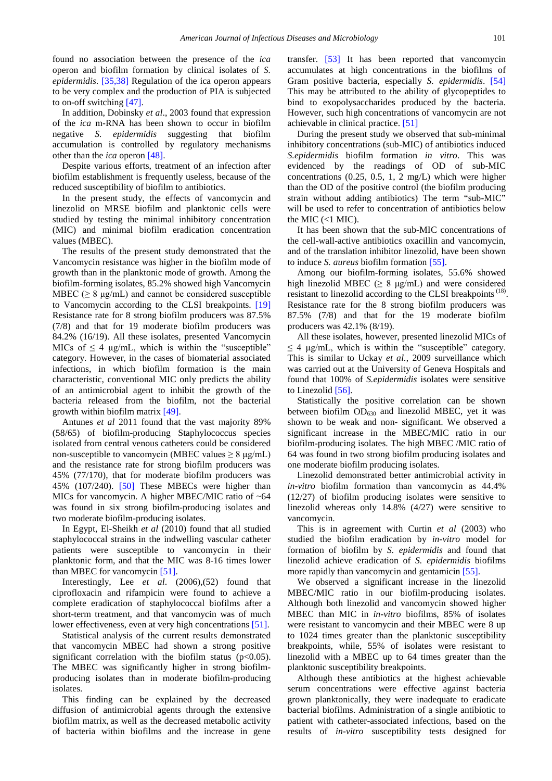found no association between the presence of the *ica*  operon and biofilm formation by clinical isolates of *S. epidermidis*. [\[35,38\]](#page-8-3) Regulation of the ica operon appears to be very complex and the production of PIA is subjected to on-off switching [\[47\].](#page-8-14)

In addition, Dobinsky *et al*., 2003 found that expression of the *ica* m-RNA has been shown to occur in biofilm negative *S. epidermidis* suggesting that biofilm accumulation is controlled by regulatory mechanisms other than the *ica* operon [\[48\].](#page-8-15)

Despite various efforts, treatment of an infection after biofilm establishment is frequently useless, because of the reduced susceptibility of biofilm to antibiotics.

In the present study, the effects of vancomycin and linezolid on MRSE biofilm and planktonic cells were studied by testing the minimal inhibitory concentration (MIC) and minimal biofilm eradication concentration values (MBEC).

The results of the present study demonstrated that the Vancomycin resistance was higher in the biofilm mode of growth than in the planktonic mode of growth. Among the biofilm-forming isolates, 85.2% showed high Vancomycin MBEC ( $> 8 \text{ µg/mL}$ ) and cannot be considered susceptible to Vancomycin according to the CLSI breakpoints. [\[19\]](#page-7-17) Resistance rate for 8 strong biofilm producers was 87.5% (7/8) and that for 19 moderate biofilm producers was 84.2% (16/19). All these isolates, presented Vancomycin MICs of  $\leq$  4 μg/mL, which is within the "susceptible" category. However, in the cases of biomaterial associated infections, in which biofilm formation is the main characteristic, conventional MIC only predicts the ability of an antimicrobial agent to inhibit the growth of the bacteria released from the biofilm, not the bacterial growth within biofilm matrix [\[49\].](#page-8-16)

Antunes *et al* 2011 found that the vast majority 89% (58/65) of biofilm-producing Staphylococcus species isolated from central venous catheters could be considered non-susceptible to vancomycin (MBEC values  $\geq 8 \mu g/mL$ ) and the resistance rate for strong biofilm producers was 45% (77/170), that for moderate biofilm producers was 45% (107/240). [\[50\]](#page-8-17) These MBECs were higher than MICs for vancomycin. A higher MBEC/MIC ratio of ~64 was found in six strong biofilm-producing isolates and two moderate biofilm-producing isolates.

In Egypt, El-Sheikh *et al* (2010) found that all studied staphylococcal strains in the indwelling vascular catheter patients were susceptible to vancomycin in their planktonic form, and that the MIC was 8-16 times lower than MBEC for vancomycin [\[51\].](#page-8-18)

Interestingly, Lee *et al*. (2006),(52) found that ciprofloxacin and rifampicin were found to achieve a complete eradication of staphylococcal biofilms after a short-term treatment, and that vancomycin was of much lower effectiveness, even at very high concentrations [\[51\].](#page-8-18)

Statistical analysis of the current results demonstrated that vancomycin MBEC had shown a strong positive significant correlation with the biofilm status ( $p<0.05$ ). The MBEC was significantly higher in strong biofilmproducing isolates than in moderate biofilm-producing isolates.

This finding can be explained by the decreased diffusion of antimicrobial agents through the extensive biofilm matrix, as well as the decreased metabolic activity of bacteria within biofilms and the increase in gene transfer. [\[53\]](#page-8-19) It has been reported that vancomycin accumulates at high concentrations in the biofilms of Gram positive bacteria, especially *S. epidermidis*. [\[54\]](#page-8-20) This may be attributed to the ability of glycopeptides to bind to exopolysaccharides produced by the bacteria. However, such high concentrations of vancomycin are not achievable in clinical practice. [\[51\]](#page-8-18)

During the present study we observed that sub-minimal inhibitory concentrations (sub-MIC) of antibiotics induced *S.epidermidis* biofilm formation *in vitro*. This was evidenced by the readings of OD of sub-MIC concentrations (0.25, 0.5, 1, 2 mg/L) which were higher than the OD of the positive control (the biofilm producing strain without adding antibiotics) The term "sub-MIC" will be used to refer to concentration of antibiotics below the MIC  $(<1$  MIC).

It has been shown that the sub-MIC concentrations of the cell-wall-active antibiotics oxacillin and vancomycin, and of the translation inhibitor linezolid, have been shown to induce *S. aureus* biofilm formation [\[55\].](#page-8-21)

Among our biofilm-forming isolates, 55.6% showed high linezolid MBEC ( $\geq 8 \mu g/mL$ ) and were considered resistant to linezolid according to the CLSI breakpoints<sup> $(18)$ </sup>. Resistance rate for the 8 strong biofilm producers was 87.5% (7/8) and that for the 19 moderate biofilm producers was 42.1% (8/19).

All these isolates, however, presented linezolid MICs of  $\leq$  4 μg/mL, which is within the "susceptible" category. This is similar to Uckay *et al.*, 2009 surveillance which was carried out at the University of Geneva Hospitals and found that 100% of *S.epidermidis* isolates were sensitive to Linezolid [\[56\].](#page-8-22)

Statistically the positive correlation can be shown between biofilm  $OD_{630}$  and linezolid MBEC, yet it was shown to be weak and non- significant. We observed a significant increase in the MBEC/MIC ratio in our biofilm-producing isolates. The high MBEC /MIC ratio of 64 was found in two strong biofilm producing isolates and one moderate biofilm producing isolates.

Linezolid demonstrated better antimicrobial activity in *in-vitro* biofilm formation than vancomycin as 44.4% (12/27) of biofilm producing isolates were sensitive to linezolid whereas only 14.8% (4/27) were sensitive to vancomycin.

This is in agreement with Curtin *et al* (2003) who studied the biofilm eradication by *in-vitro* model for formation of biofilm by *S. epidermidis* and found that linezolid achieve eradication of *S. epidermidis* biofilms more rapidly than vancomycin and gentamicin [\[55\].](#page-8-21)

We observed a significant increase in the linezolid MBEC/MIC ratio in our biofilm-producing isolates. Although both linezolid and vancomycin showed higher MBEC than MIC in *in-vitro* biofilms, 85% of isolates were resistant to vancomycin and their MBEC were 8 up to 1024 times greater than the planktonic susceptibility breakpoints, while, 55% of isolates were resistant to linezolid with a MBEC up to 64 times greater than the planktonic susceptibility breakpoints.

Although these antibiotics at the highest achievable serum concentrations were effective against bacteria grown planktonically, they were inadequate to eradicate bacterial biofilms. Administration of a single antibiotic to patient with catheter-associated infections, based on the results of *in-vitro* susceptibility tests designed for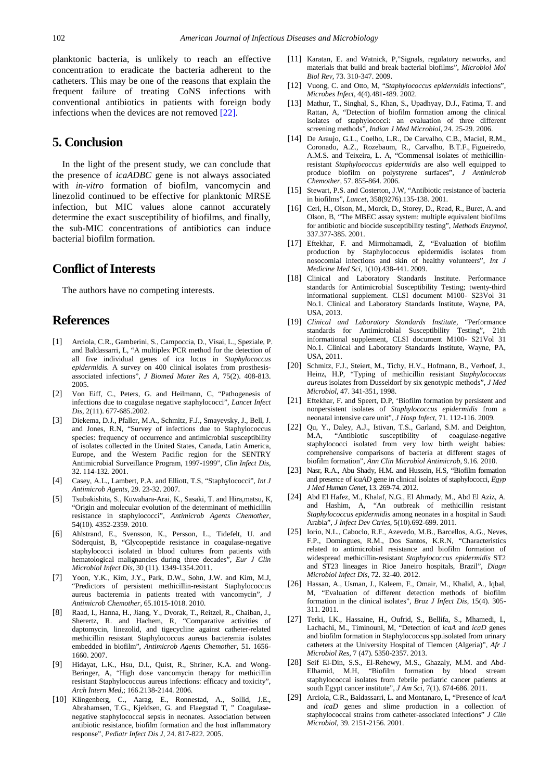planktonic bacteria, is unlikely to reach an effective concentration to eradicate the bacteria adherent to the catheters. This may be one of the reasons that explain the frequent failure of treating CoNS infections with conventional antibiotics in patients with foreign body infections when the devices are not removed [\[22\].](#page-7-20)

# **5. Conclusion**

In the light of the present study, we can conclude that the presence of *icaADBC* gene is not always associated with *in-vitro* formation of biofilm, vancomycin and linezolid continued to be effective for planktonic MRSE infection, but MIC values alone cannot accurately determine the exact susceptibility of biofilms, and finally, the sub-MIC concentrations of antibiotics can induce bacterial biofilm formation.

# **Conflict of Interests**

The authors have no competing interests.

# **References**

- <span id="page-7-0"></span>[1] Arciola, C.R., Gamberini, S., Campoccia, D., Visai, L., Speziale, P. and Baldassarri, L, "A multiplex PCR method for the detection of all five individual genes of ica locus in *Staphylococcus epidermidis*. A survey on 400 clinical isolates from prosthesisassociated infections", *J Biomed Mater Res A*, 75(2). 408-813. 2005.
- <span id="page-7-1"></span>[2] Von Eiff, C., Peters, G. and Heilmann, C, "Pathogenesis of infections due to coagulase negative staphylococci", *Lancet Infect Dis,* 2(11). 677-685.2002.
- <span id="page-7-2"></span>[3] Diekema, D.J., Pfaller, M.A., Schmitz, F.J., Smayevsky, J., Bell, J. and Jones, R.N, "Survey of infections due to Staphylococcus species: frequency of occurrence and antimicrobial susceptibility of isolates collected in the United States, Canada, Latin America, Europe, and the Western Pacific region for the SENTRY Antimicrobial Surveillance Program, 1997-1999", *Clin Infect Dis*, 32. 114-132. 2001.
- <span id="page-7-3"></span>[4] Casey, A.L., Lambert, P.A. and Elliott, T.S, "Staphylococci", *Int J Antimicrob Agents,* 29. 23-32. 2007.
- <span id="page-7-4"></span>[5] Tsubakishita, S., Kuwahara-Arai, K., Sasaki, T. and Hira,matsu, K, "Origin and molecular evolution of the determinant of methicillin resistance in staphylococci", *Antimicrob Agents Chemother,* 54(10). 4352-2359. 2010.
- <span id="page-7-5"></span>[6] Ahlstrand, E., Svensson, K., Persson, L., Tidefelt, U. and Söderquist, B, "Glycopeptide resistance in coagulase-negative staphylococci isolated in blood cultures from patients with hematological malignancies during three decades", *Eur J Clin Microbiol Infect Dis,* 30 (11). 1349-1354.2011.
- <span id="page-7-6"></span>[7] Yoon, Y.K., Kim, J.Y., Park, D.W., Sohn, J.W. and Kim, M.J, "Predictors of persistent methicillin-resistant Staphylococcus aureus bacteremia in patients treated with vancomycin", *J Antimicrob Chemother,* 65.1015-1018. 2010.
- <span id="page-7-7"></span>[8] Raad, I., Hanna, H., Jiang, Y., Dvorak, T., Reitzel, R., Chaiban, J., Sherertz, R. and Hachem, R, "Comparative activities of daptomycin, linezolid, and tigecycline against catheter-related methicillin resistant Staphylococcus aureus bacteremia isolates embedded in biofilm", *Antimicrob Agents Chemother,* 51. 1656- 1660. 2007.
- <span id="page-7-8"></span>[9] Hidayat, L.K., Hsu, D.I., Quist, R., Shriner, K.A. and Wong-Beringer, A, "High dose vancomycin therapy for methicillin resistant Staphylococcus aureus infections: efficacy and toxicity", *Arch Intern Med*,; 166.2138-2144. 2006.
- [10] Klingenberg, C., Aarag, E., Ronnestad, A., Sollid, J.E., Abrahamsen, T.G., Kjeldsen, G. and Flaegstad T, " Coagulasenegative staphylococcal sepsis in neonates. Association between antibiotic resistance, biofilm formation and the host inflammatory response", *Pediatr Infect Dis J,* 24. 817-822. 2005.
- <span id="page-7-9"></span>[11] Karatan, E. and Watnick, P,"Signals, regulatory networks, and materials that build and break bacterial biofilms", *Microbiol Mol Biol Rev*, 73. 310-347. 2009.
- <span id="page-7-10"></span>[12] Vuong, C. and Otto, M, "*Staphylococcus epidermidis* infections", *Microbes Infect*, 4(4).481-489. 2002.
- <span id="page-7-11"></span>[13] Mathur, T., Singhal, S., Khan, S., Upadhyay, D.J., Fatima, T. and Rattan, A, "Detection of biofilm formation among the clinical isolates of staphylococci: an evaluation of three different screening methods", *Indian J Med Microbiol*, 24. 25-29. 2006.
- <span id="page-7-12"></span>[14] De Araujo, G.L., Coelho, L.R., De Carvalho, C.B., Maciel, R.M., Coronado, A.Z., Rozebaum, R., Carvalho, B.T.F., Figueiredo, A.M.S. and Teixeira, L. A, "Commensal isolates of methicillinresistant *Staphylococcus epidermidis* are also well equipped to produce biofilm on polystyrene surfaces", *J Antimicrob Chemother*, 57. 855-864. 2006.
- <span id="page-7-13"></span>[15] Stewart, P.S. and Costerton, J.W, "Antibiotic resistance of bacteria in biofilms", *Lancet*, 358(9276).135-138. 2001.
- <span id="page-7-14"></span>[16] Ceri, H., Olson, M., Morck, D., Storey, D., Read, R., Buret, A. and Olson, B, "The MBEC assay system: multiple equivalent biofilms for antibiotic and biocide susceptibility testing", *Methods Enzymol*, 337.377-385. 2001.
- <span id="page-7-15"></span>[17] Eftekhar, F. and Mirmohamadi, Z, "Evaluation of biofilm production by Staphylococcus epidermidis isolates from nosocomial infections and skin of healthy volunteers", *Int J Medicine Med Sci*, 1(10).438-441. 2009.
- <span id="page-7-16"></span>[18] Clinical and Laboratory Standards Institute. Performance standards for Antimicrobial Susceptibility Testing; twenty-third informational supplement. CLSI document M100- S23Vol 31 No.1. Clinical and Laboratory Standards Institute, Wayne, PA, USA, 2013.
- <span id="page-7-17"></span>[19] *Clinical and Laboratory Standards Institute,* "Performance standards for Antimicrobial Susceptibility Testing", 21th informational supplement, CLSI document M100- S21Vol 31 No.1. Clinical and Laboratory Standards Institute, Wayne, PA, USA, 2011.
- <span id="page-7-18"></span>[20] Schmitz, F.J., Steiert, M., Tichy, H.V., Hofmann, B., Verhoef, J., Heinz, H.P, "Typing of methicillin resistant *Staphylococcus aureus* isolates from Dusseldorf by six genotypic methods", *J Med Microbiol*, 47. 341-351, 1998.
- <span id="page-7-19"></span>[21] Eftekhar, F. and Speert, D.P, 'Biofilm formation by persistent and nonpersistent isolates of *Staphylococcus epidermidis* from a neonatal intensive care unit", *J Hosp Infect*, 71. 112-116. 2009.
- <span id="page-7-20"></span>[22] Ou, Y., Daley, A.J., Istivan, T.S., Garland, S.M. and Deighton, M.A, "Antibiotic susceptibility of coagulase-negative staphylococci isolated from very low birth weight babies: comprehensive comparisons of bacteria at different stages of biofilm formation", *Ann Clin Microbiol Antimicrob*, 9.16. 2010.
- <span id="page-7-21"></span>[23] Nasr, R.A., Abu Shady, H.M. and Hussein, H.S, "Biofilm formation and presence of *icaAD* gene in clinical isolates of staphylococci, *Egyp J Med Human Genet*, 13. 269-74. 2012.
- <span id="page-7-22"></span>[24] Abd El Hafez, M., Khalaf, N.G., El Ahmady, M., Abd El Aziz, A. and Hashim, A, "An outbreak of methicillin resistant *Staphylococcus epidermidis* among neonates in a hospital in Saudi Arabia", *J Infect Dev Ctries*, 5(10).692-699. 2011.
- <span id="page-7-23"></span>[25] Iorio, N.L., Caboclo, R.F., Azevedo, M.B., Barcellos, A.G., Neves, F.P., Domingues, R.M., Dos Santos, K.R.N, "Characteristics related to antimicrobial resistance and biofilm formation of widespread methicillin-resistant *Staphylococcus epidermidis* ST2 and ST23 lineages in Rioe Janeiro hospitals, Brazil", *Diagn Microbiol Infect Dis*, 72. 32-40. 2012.
- [26] Hassan, A., Usman, J., Kaleem, F., Omair, M., Khalid, A., Iqbal, M, "Evaluation of different detection methods of biofilm formation in the clinical isolates", *Braz J Infect Dis*, 15(4). 305- 311. 2011.
- <span id="page-7-24"></span>[27] Terki, I.K., Hassaine, H., Oufrid, S., Bellifa, S., Mhamedi, I., Lachachi, M., Timinouni, M, "Detection of *icaA* and *icaD* genes and biofilm formation in Staphylococcus spp.isolated from urinary catheters at the University Hospital of Tlemcen (Algeria)", *Afr J Microbiol Res,* 7 (47). 5350-2357. 2013.
- <span id="page-7-25"></span>[28] Seif El-Din, S.S., El-Rehewy, M.S., Ghazaly, M.M. and Abd-Elhamid, M.H, "Biofilm formation by blood stream staphylococcal isolates from febrile pediatric cancer patients at south Egypt cancer institute", *J Am Sci,* 7(1). 674-686. 2011.
- <span id="page-7-26"></span>[29] Arciola, C.R., Baldassarri, L. and Montanaro, L, "Presence of *icaA* and *icaD* genes and slime production in a collection of staphylococcal strains from catheter-associated infections" *J Clin Microbiol*, 39. 2151-2156. 2001.